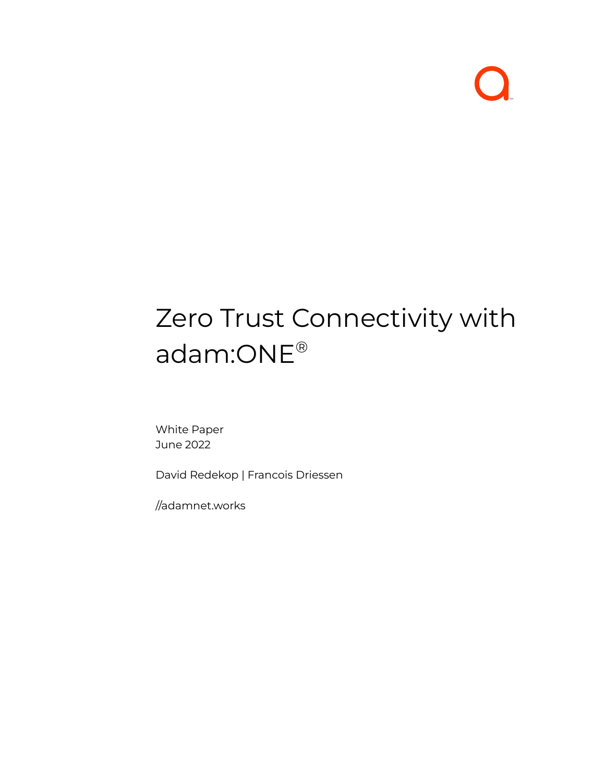# Zero Trust Connectivity with adam:ONE ®

White Paper June 2022

David Redekop | Francois Driessen

//adamnet.works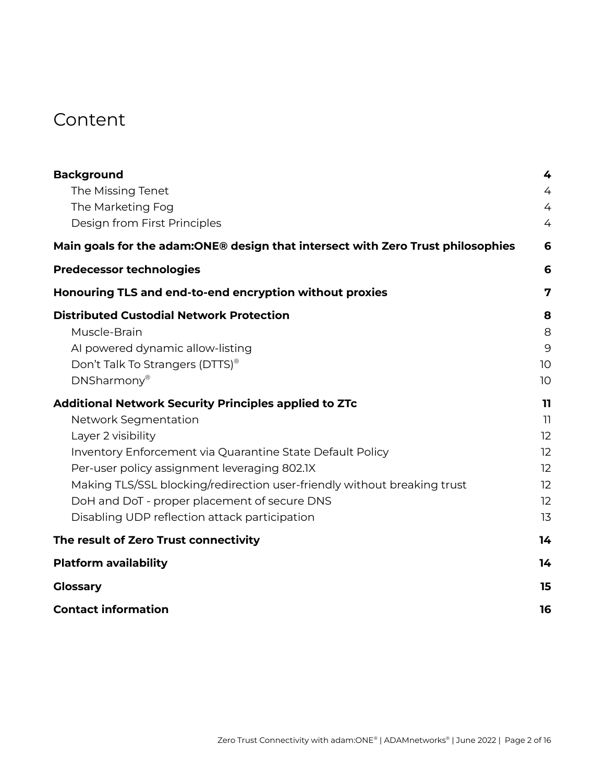### Content

| <b>Background</b>                                                                | 4              |
|----------------------------------------------------------------------------------|----------------|
| The Missing Tenet                                                                | 4              |
| The Marketing Fog                                                                | $\overline{4}$ |
| Design from First Principles                                                     | 4              |
| Main goals for the adam: ONE® design that intersect with Zero Trust philosophies | 6              |
| <b>Predecessor technologies</b>                                                  | 6              |
| Honouring TLS and end-to-end encryption without proxies                          | 7              |
| <b>Distributed Custodial Network Protection</b>                                  | 8              |
| Muscle-Brain                                                                     | 8              |
| AI powered dynamic allow-listing                                                 | 9              |
| Don't Talk To Strangers (DTTS) <sup>®</sup>                                      | 10             |
| DNSharmony <sup>®</sup>                                                          | 10             |
|                                                                                  |                |
| <b>Additional Network Security Principles applied to ZTc</b>                     | 11             |
| Network Segmentation                                                             | 11             |
| Layer 2 visibility                                                               | 12             |
| Inventory Enforcement via Quarantine State Default Policy                        | 12             |
| Per-user policy assignment leveraging 802.1X                                     | 12             |
| Making TLS/SSL blocking/redirection user-friendly without breaking trust         | 12             |
| DoH and DoT - proper placement of secure DNS                                     | 12             |
| Disabling UDP reflection attack participation                                    | 13             |
| The result of Zero Trust connectivity                                            | 14             |
| <b>Platform availability</b>                                                     | 14             |
| <b>Glossary</b>                                                                  | 15             |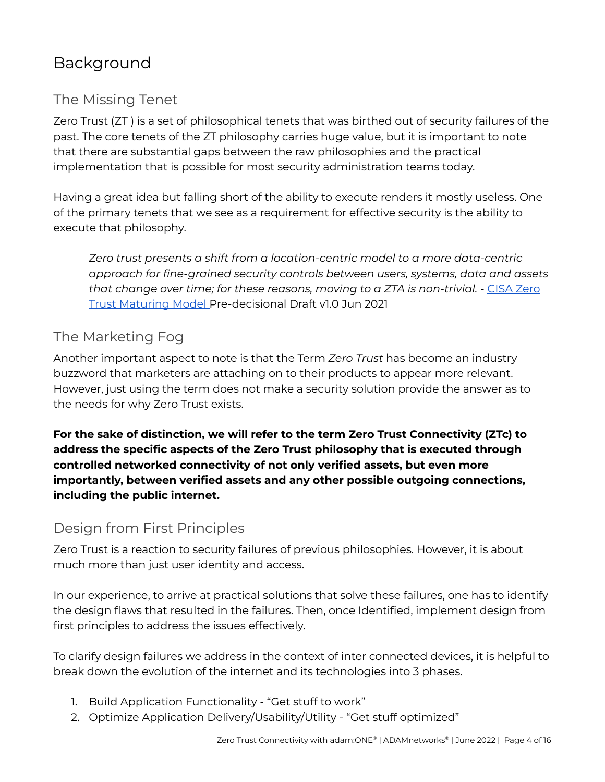### <span id="page-3-0"></span>Background

#### <span id="page-3-1"></span>The Missing Tenet

Zero Trust (ZT ) is a set of philosophical tenets that was birthed out of security failures of the past. The core tenets of the ZT philosophy carries huge value, but it is important to note that there are substantial gaps between the raw philosophies and the practical implementation that is possible for most security administration teams today.

Having a great idea but falling short of the ability to execute renders it mostly useless. One of the primary tenets that we see as a requirement for effective security is the ability to execute that philosophy.

*Zero trust presents a shift from a location-centric model to a more data-centric approach for fine-grained security controls between users, systems, data and assets that change over time; for these reasons, moving to a ZTA is non-trivial.* - [CISA](https://www.cisa.gov/sites/default/files/publications/CISA%20Zero%20Trust%20Maturity%20Model_Draft.pdf) Zero Trust [Maturing](https://www.cisa.gov/sites/default/files/publications/CISA%20Zero%20Trust%20Maturity%20Model_Draft.pdf) Model Pre-decisional Draft v1.0 Jun 2021

#### <span id="page-3-2"></span>The Marketing Fog

Another important aspect to note is that the Term *Zero Trust* has become an industry buzzword that marketers are attaching on to their products to appear more relevant. However, just using the term does not make a security solution provide the answer as to the needs for why Zero Trust exists.

**For the sake of distinction, we will refer to the term Zero Trust Connectivity (ZTc) to address the specific aspects of the Zero Trust philosophy that is executed through controlled networked connectivity of not only verified assets, but even more importantly, between verified assets and any other possible outgoing connections, including the public internet.**

#### <span id="page-3-3"></span>Design from First Principles

Zero Trust is a reaction to security failures of previous philosophies. However, it is about much more than just user identity and access.

In our experience, to arrive at practical solutions that solve these failures, one has to identify the design flaws that resulted in the failures. Then, once Identified, implement design from first principles to address the issues effectively.

To clarify design failures we address in the context of inter connected devices, it is helpful to break down the evolution of the internet and its technologies into 3 phases.

- 1. Build Application Functionality "Get stuff to work"
- 2. Optimize Application Delivery/Usability/Utility "Get stuff optimized"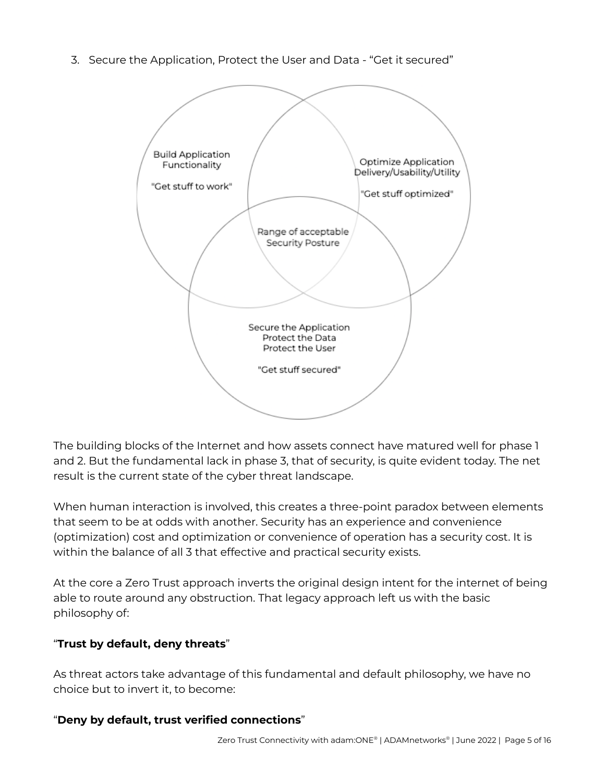3. Secure the Application, Protect the User and Data - "Get it secured"



The building blocks of the Internet and how assets connect have matured well for phase 1 and 2. But the fundamental lack in phase 3, that of security, is quite evident today. The net result is the current state of the cyber threat landscape.

When human interaction is involved, this creates a three-point paradox between elements that seem to be at odds with another. Security has an experience and convenience (optimization) cost and optimization or convenience of operation has a security cost. It is within the balance of all 3 that effective and practical security exists.

At the core a Zero Trust approach inverts the original design intent for the internet of being able to route around any obstruction. That legacy approach left us with the basic philosophy of:

#### "**Trust by default, deny threats**"

As threat actors take advantage of this fundamental and default philosophy, we have no choice but to invert it, to become:

#### "**Deny by default, trust verified connections**"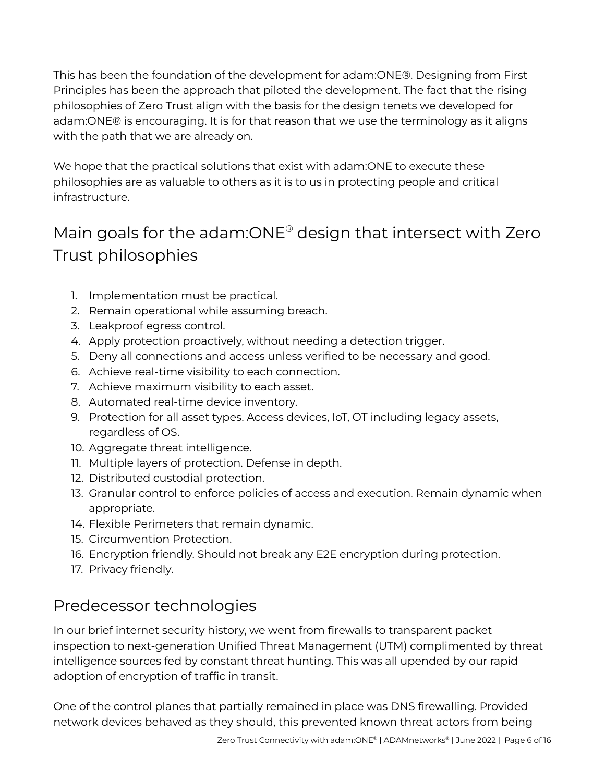This has been the foundation of the development for adam:ONE®. Designing from First Principles has been the approach that piloted the development. The fact that the rising philosophies of Zero Trust align with the basis for the design tenets we developed for adam:ONE® is encouraging. It is for that reason that we use the terminology as it aligns with the path that we are already on.

We hope that the practical solutions that exist with adam:ONE to execute these philosophies are as valuable to others as it is to us in protecting people and critical infrastructure.

### <span id="page-5-0"></span>Main goals for the adam:ONE ® design that intersect with Zero Trust philosophies

- 1. Implementation must be practical.
- 2. Remain operational while assuming breach.
- 3. Leakproof egress control.
- 4. Apply protection proactively, without needing a detection trigger.
- 5. Deny all connections and access unless verified to be necessary and good.
- 6. Achieve real-time visibility to each connection.
- 7. Achieve maximum visibility to each asset.
- 8. Automated real-time device inventory.
- 9. Protection for all asset types. Access devices, IoT, OT including legacy assets, regardless of OS.
- 10. Aggregate threat intelligence.
- 11. Multiple layers of protection. Defense in depth.
- 12. Distributed custodial protection.
- 13. Granular control to enforce policies of access and execution. Remain dynamic when appropriate.
- 14. Flexible Perimeters that remain dynamic.
- 15. Circumvention Protection.
- 16. Encryption friendly. Should not break any E2E encryption during protection.
- 17. Privacy friendly.

### <span id="page-5-1"></span>Predecessor technologies

In our brief internet security history, we went from firewalls to transparent packet inspection to next-generation Unified Threat Management (UTM) complimented by threat intelligence sources fed by constant threat hunting. This was all upended by our rapid adoption of encryption of traffic in transit.

One of the control planes that partially remained in place was DNS firewalling. Provided network devices behaved as they should, this prevented known threat actors from being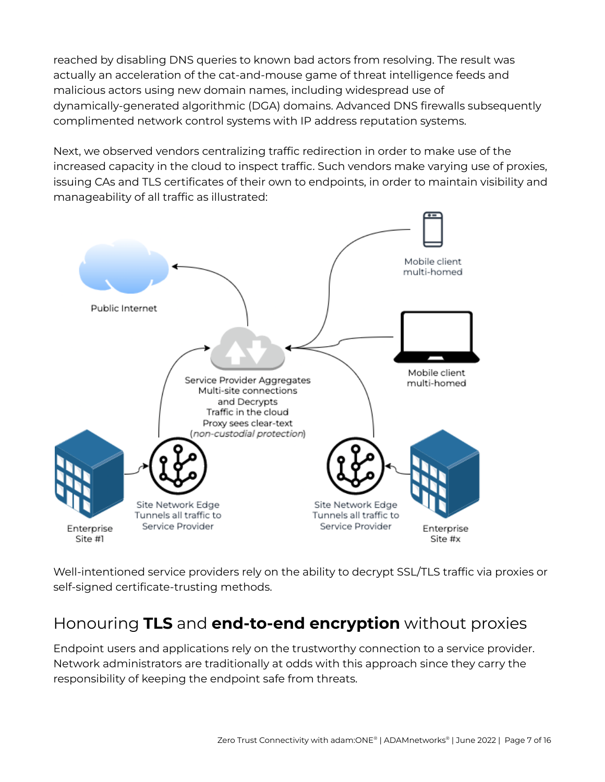reached by disabling DNS queries to known bad actors from resolving. The result was actually an acceleration of the cat-and-mouse game of threat intelligence feeds and malicious actors using new domain names, including widespread use of dynamically-generated algorithmic (DGA) domains. Advanced DNS firewalls subsequently complimented network control systems with IP address reputation systems.

Next, we observed vendors centralizing traffic redirection in order to make use of the increased capacity in the cloud to inspect traffic. Such vendors make varying use of proxies, issuing CAs and TLS certificates of their own to endpoints, in order to maintain visibility and manageability of all traffic as illustrated:



Well-intentioned service providers rely on the ability to decrypt SSL/TLS traffic via proxies or self-signed certificate-trusting methods.

### <span id="page-6-0"></span>Honouring **TLS** and **end-to-end encryption** without proxies

Endpoint users and applications rely on the trustworthy connection to a service provider. Network administrators are traditionally at odds with this approach since they carry the responsibility of keeping the endpoint safe from threats.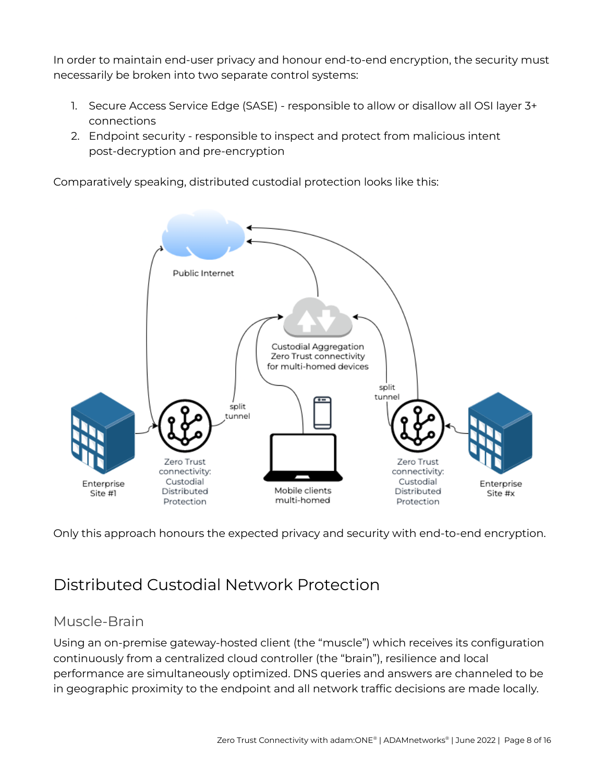In order to maintain end-user privacy and honour end-to-end encryption, the security must necessarily be broken into two separate control systems:

- 1. Secure Access Service Edge (SASE) responsible to allow or disallow all OSI layer 3+ connections
- 2. Endpoint security responsible to inspect and protect from malicious intent post-decryption and pre-encryption

Comparatively speaking, distributed custodial protection looks like this:



Only this approach honours the expected privacy and security with end-to-end encryption.

### <span id="page-7-0"></span>Distributed Custodial Network Protection

#### <span id="page-7-1"></span>Muscle-Brain

Using an on-premise gateway-hosted client (the "muscle") which receives its configuration continuously from a centralized cloud controller (the "brain"), resilience and local performance are simultaneously optimized. DNS queries and answers are channeled to be in geographic proximity to the endpoint and all network traffic decisions are made locally.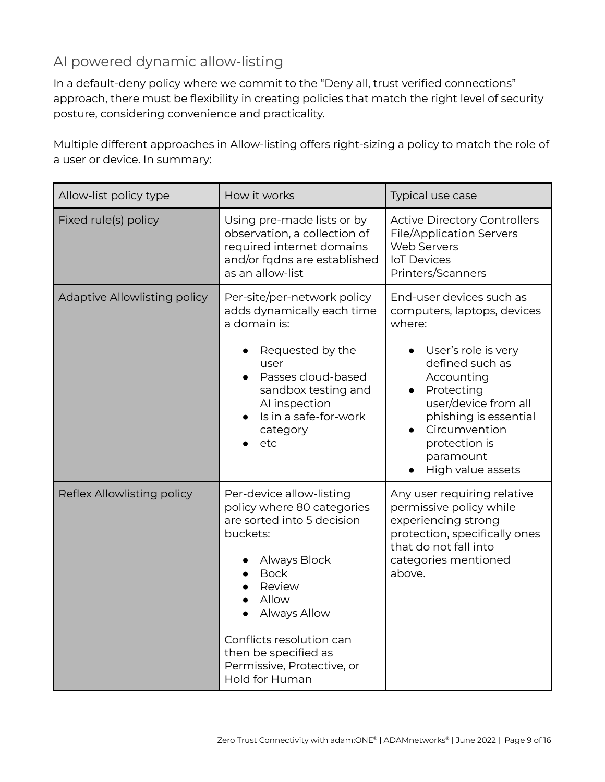#### <span id="page-8-0"></span>AI powered dynamic allow-listing

In a default-deny policy where we commit to the "Deny all, trust verified connections" approach, there must be flexibility in creating policies that match the right level of security posture, considering convenience and practicality.

Multiple different approaches in Allow-listing offers right-sizing a policy to match the role of a user or device. In summary:

| Allow-list policy type       | How it works                                                                                                                                                                                                                                                                  | Typical use case                                                                                                                                                                                                                                             |
|------------------------------|-------------------------------------------------------------------------------------------------------------------------------------------------------------------------------------------------------------------------------------------------------------------------------|--------------------------------------------------------------------------------------------------------------------------------------------------------------------------------------------------------------------------------------------------------------|
| Fixed rule(s) policy         | Using pre-made lists or by<br>observation, a collection of<br>required internet domains<br>and/or fqdns are established<br>as an allow-list                                                                                                                                   | <b>Active Directory Controllers</b><br><b>File/Application Servers</b><br>Web Servers<br><b>IoT</b> Devices<br>Printers/Scanners                                                                                                                             |
| Adaptive Allowlisting policy | Per-site/per-network policy<br>adds dynamically each time<br>a domain is:<br>Requested by the<br>user<br>Passes cloud-based<br>sandbox testing and<br>Al inspection<br>Is in a safe-for-work<br>category<br>etc                                                               | End-user devices such as<br>computers, laptops, devices<br>where:<br>User's role is very<br>defined such as<br>Accounting<br>Protecting<br>user/device from all<br>phishing is essential<br>Circumvention<br>protection is<br>paramount<br>High value assets |
| Reflex Allowlisting policy   | Per-device allow-listing<br>policy where 80 categories<br>are sorted into 5 decision<br>buckets:<br>Always Block<br><b>Bock</b><br>Review<br>Allow<br>Always Allow<br>Conflicts resolution can<br>then be specified as<br>Permissive, Protective, or<br><b>Hold for Human</b> | Any user requiring relative<br>permissive policy while<br>experiencing strong<br>protection, specifically ones<br>that do not fall into<br>categories mentioned<br>above.                                                                                    |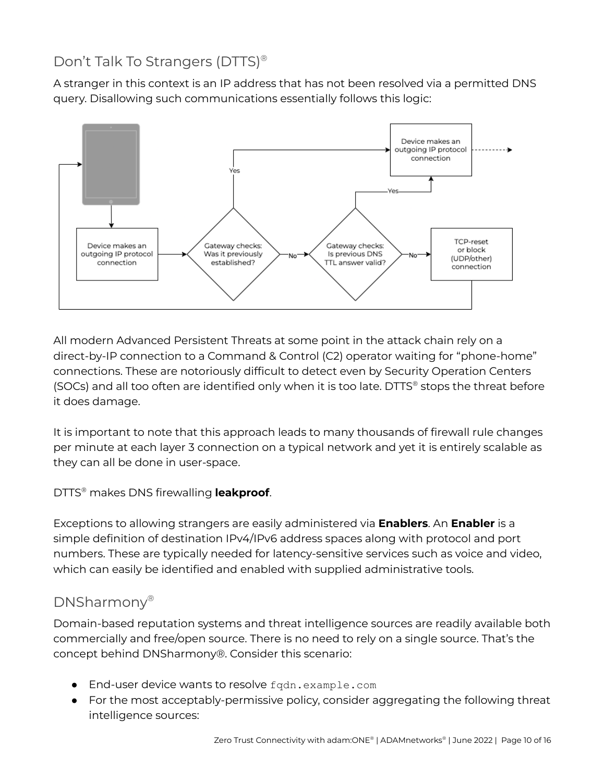### <span id="page-9-0"></span>Don't Talk To Strangers (DTTS) ®

A stranger in this context is an IP address that has not been resolved via a permitted DNS query. Disallowing such communications essentially follows this logic:



All modern Advanced Persistent Threats at some point in the attack chain rely on a direct-by-IP connection to a Command & Control (C2) operator waiting for "phone-home" connections. These are notoriously difficult to detect even by Security Operation Centers (SOCs) and all too often are identified only when it is too late. DTTS ® stops the threat before it does damage.

It is important to note that this approach leads to many thousands of firewall rule changes per minute at each layer 3 connection on a typical network and yet it is entirely scalable as they can all be done in user-space.

#### DTTS ® makes DNS firewalling **leakproof**.

Exceptions to allowing strangers are easily administered via **Enablers**. An **Enabler** is a simple definition of destination IPv4/IPv6 address spaces along with protocol and port numbers. These are typically needed for latency-sensitive services such as voice and video, which can easily be identified and enabled with supplied administrative tools.

#### <span id="page-9-1"></span>DNSharmony ®

Domain-based reputation systems and threat intelligence sources are readily available both commercially and free/open source. There is no need to rely on a single source. That's the concept behind DNSharmony®. Consider this scenario:

- End-user device wants to resolve fqdn.example.com
- For the most acceptably-permissive policy, consider aggregating the following threat intelligence sources: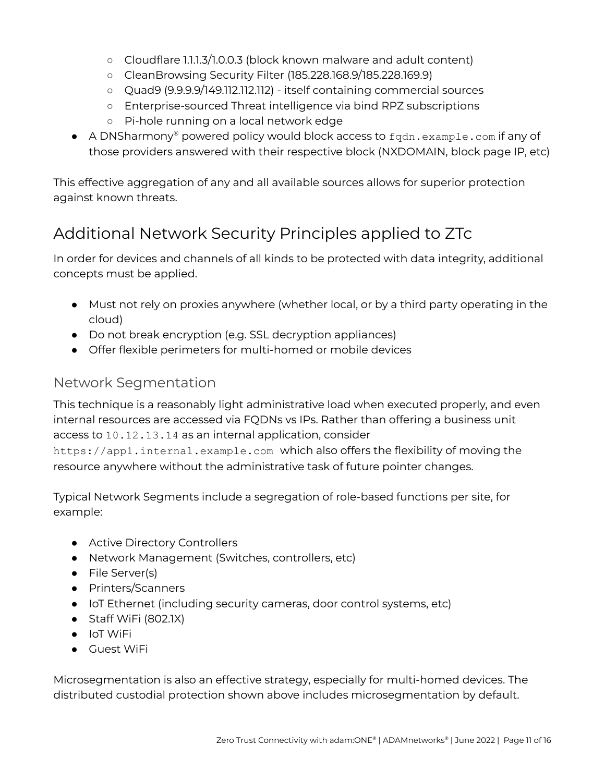- Cloudflare 1.1.1.3/1.0.0.3 (block known malware and adult content)
- CleanBrowsing Security Filter (185.228.168.9/185.228.169.9)
- Quad9 (9.9.9.9/149.112.112.112) itself containing commercial sources
- Enterprise-sourced Threat intelligence via bind RPZ subscriptions
- Pi-hole running on a local network edge
- A DNSharmony ® powered policy would block access to fqdn.example.com if any of those providers answered with their respective block (NXDOMAIN, block page IP, etc)

This effective aggregation of any and all available sources allows for superior protection against known threats.

### <span id="page-10-0"></span>Additional Network Security Principles applied to ZTc

In order for devices and channels of all kinds to be protected with data integrity, additional concepts must be applied.

- Must not rely on proxies anywhere (whether local, or by a third party operating in the cloud)
- Do not break encryption (e.g. SSL decryption appliances)
- Offer flexible perimeters for multi-homed or mobile devices

#### <span id="page-10-1"></span>Network Segmentation

This technique is a reasonably light administrative load when executed properly, and even internal resources are accessed via FQDNs vs IPs. Rather than offering a business unit access to 10.12.13.14 as an internal application, consider https://app1.internal.example.com which also offers the flexibility of moving the resource anywhere without the administrative task of future pointer changes.

Typical Network Segments include a segregation of role-based functions per site, for example:

- Active Directory Controllers
- Network Management (Switches, controllers, etc)
- File Server(s)
- Printers/Scanners
- IoT Ethernet (including security cameras, door control systems, etc)
- Staff WiFi (802.1X)
- IoT WiFi
- Guest WiFi

Microsegmentation is also an effective strategy, especially for multi-homed devices. The distributed custodial protection shown above includes microsegmentation by default.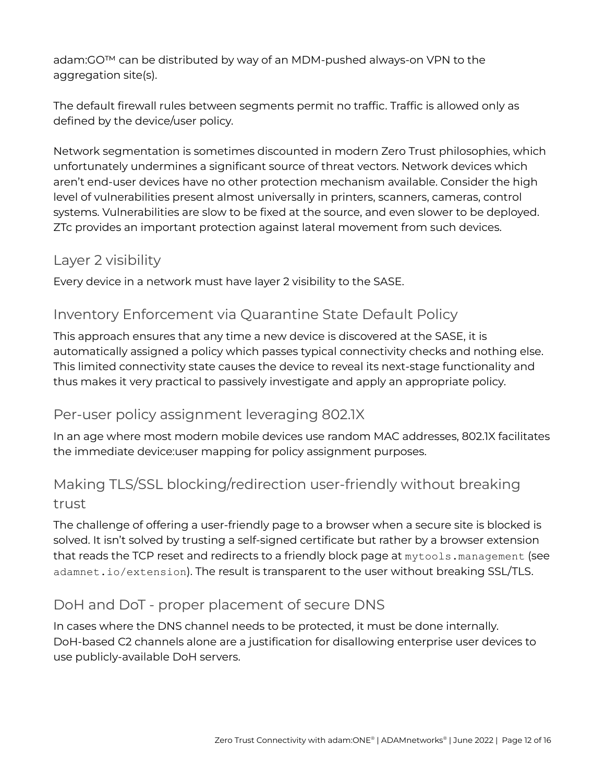adam:GO™ can be distributed by way of an MDM-pushed always-on VPN to the aggregation site(s).

The default firewall rules between segments permit no traffic. Traffic is allowed only as defined by the device/user policy.

Network segmentation is sometimes discounted in modern Zero Trust philosophies, which unfortunately undermines a significant source of threat vectors. Network devices which aren't end-user devices have no other protection mechanism available. Consider the high level of vulnerabilities present almost universally in printers, scanners, cameras, control systems. Vulnerabilities are slow to be fixed at the source, and even slower to be deployed. ZTc provides an important protection against lateral movement from such devices.

#### <span id="page-11-0"></span>Layer 2 visibility

<span id="page-11-1"></span>Every device in a network must have layer 2 visibility to the SASE.

#### Inventory Enforcement via Quarantine State Default Policy

This approach ensures that any time a new device is discovered at the SASE, it is automatically assigned a policy which passes typical connectivity checks and nothing else. This limited connectivity state causes the device to reveal its next-stage functionality and thus makes it very practical to passively investigate and apply an appropriate policy.

#### <span id="page-11-2"></span>Per-user policy assignment leveraging 802.1X

In an age where most modern mobile devices use random MAC addresses, 802.1X facilitates the immediate device:user mapping for policy assignment purposes.

### <span id="page-11-3"></span>Making TLS/SSL blocking/redirection user-friendly without breaking trust

The challenge of offering a user-friendly page to a browser when a secure site is blocked is solved. It isn't solved by trusting a self-signed certificate but rather by a browser extension that reads the TCP reset and redirects to a friendly block page at mytools.management (see adamnet.io/extension). The result is transparent to the user without breaking SSL/TLS.

#### <span id="page-11-4"></span>DoH and DoT - proper placement of secure DNS

In cases where the DNS channel needs to be protected, it must be done internally. DoH-based C2 channels alone are a justification for disallowing enterprise user devices to use publicly-available DoH servers.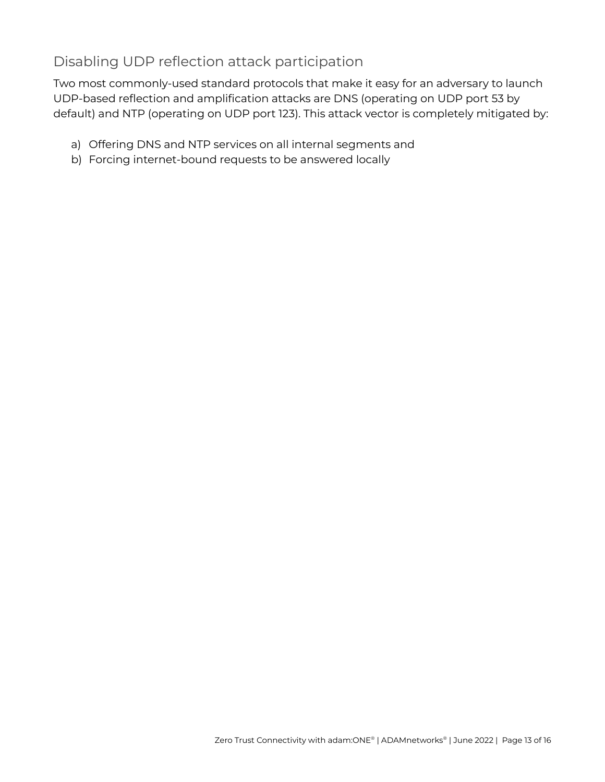#### <span id="page-12-0"></span>Disabling UDP reflection attack participation

Two most commonly-used standard protocols that make it easy for an adversary to launch UDP-based reflection and amplification attacks are DNS (operating on UDP port 53 by default) and NTP (operating on UDP port 123). This attack vector is completely mitigated by:

- a) Offering DNS and NTP services on all internal segments and
- b) Forcing internet-bound requests to be answered locally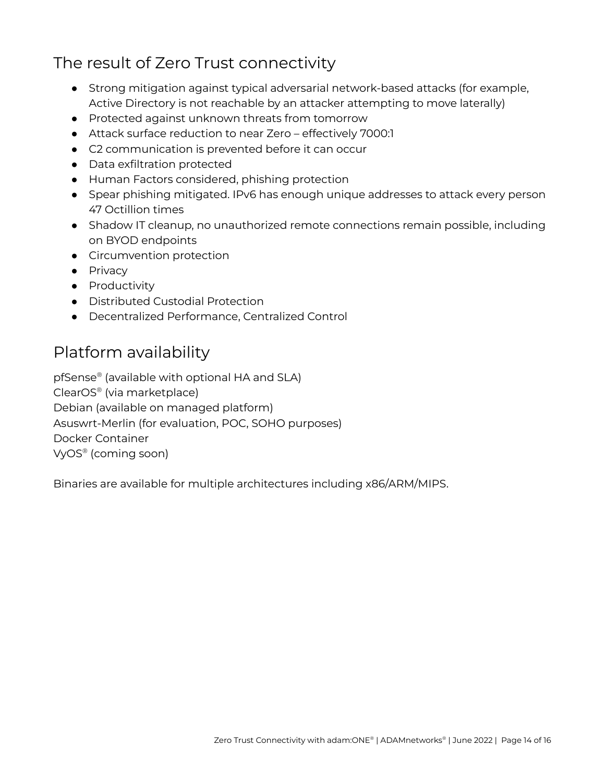### <span id="page-13-0"></span>The result of Zero Trust connectivity

- Strong mitigation against typical adversarial network-based attacks (for example, Active Directory is not reachable by an attacker attempting to move laterally)
- Protected against unknown threats from tomorrow
- Attack surface reduction to near Zero effectively 7000:1
- C2 communication is prevented before it can occur
- Data exfiltration protected
- Human Factors considered, phishing protection
- Spear phishing mitigated. IPv6 has enough unique addresses to attack every person 47 Octillion times
- Shadow IT cleanup, no unauthorized remote connections remain possible, including on BYOD endpoints
- Circumvention protection
- Privacy
- **•** Productivity
- Distributed Custodial Protection
- Decentralized Performance, Centralized Control

### <span id="page-13-1"></span>Platform availability

pfSense ® (available with optional HA and SLA) ClearOS ® (via marketplace) Debian (available on managed platform) Asuswrt-Merlin (for evaluation, POC, SOHO purposes) Docker Container VyOS ® (coming soon)

Binaries are available for multiple architectures including x86/ARM/MIPS.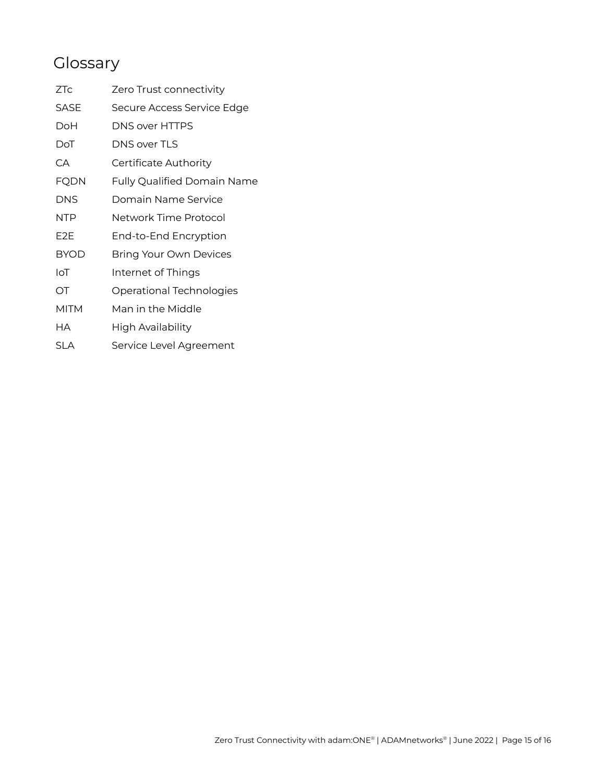## <span id="page-14-0"></span>Glossary

| <b>ZTc</b>  | Zero Trust connectivity            |
|-------------|------------------------------------|
| SASE        | Secure Access Service Edge         |
| DoH         | <b>DNS over HTTPS</b>              |
| DoT         | DNS over TLS                       |
| CА          | Certificate Authority              |
| <b>FQDN</b> | <b>Fully Qualified Domain Name</b> |
| <b>DNS</b>  | Domain Name Service                |
| <b>NTP</b>  | Network Time Protocol              |
| F2F         | End-to-End Encryption              |
| <b>BYOD</b> | <b>Bring Your Own Devices</b>      |
| IoT         | Internet of Things                 |
| ОT          | Operational Technologies           |
| <b>MITM</b> | Man in the Middle                  |
| НA          | High Availability                  |
| SI A        | Service Level Agreement            |
|             |                                    |